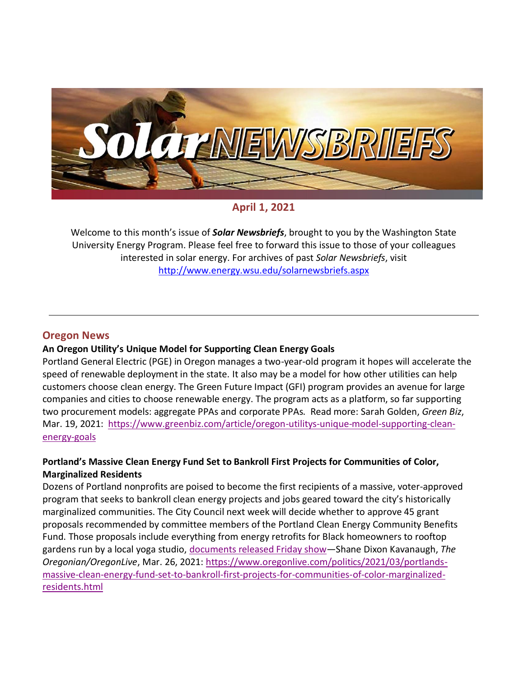

**April 1, 2021**

Welcome to this month's issue of *Solar Newsbriefs*, brought to you by the Washington State University Energy Program. Please feel free to forward this issue to those of your colleagues interested in solar energy. For archives of past *Solar Newsbriefs*, visit <http://www.energy.wsu.edu/solarnewsbriefs.aspx>

# **Oregon News**

## **An Oregon Utility's Unique Model for Supporting Clean Energy Goals**

Portland General Electric (PGE) in Oregon manages a two-year-old program it hopes will accelerate the speed of renewable deployment in the state. It also may be a model for how other utilities can help customers choose clean energy. The Green Future Impact (GFI) program provides an avenue for large companies and cities to choose renewable energy. The program acts as a platform, so far supporting two procurement models: aggregate PPAs and corporate PPAs. Read more: Sarah Golden, *Green Biz*, Mar. 19, 2021: [https://www.greenbiz.com/article/oregon-utilitys-unique-model-supporting-clean](https://www.greenbiz.com/article/oregon-utilitys-unique-model-supporting-clean-energy-goals)[energy-goals](https://www.greenbiz.com/article/oregon-utilitys-unique-model-supporting-clean-energy-goals)

## **Portland's Massive Clean Energy Fund Set to Bankroll First Projects for Communities of Color, Marginalized Residents**

Dozens of Portland nonprofits are poised to become the first recipients of a massive, voter-approved program that seeks to bankroll clean energy projects and jobs geared toward the city's historically marginalized communities. The City Council next week will decide whether to approve 45 grant proposals recommended by committee members of the Portland Clean Energy Community Benefits Fund. Those proposals include everything from energy retrofits for Black homeowners to rooftop gardens run by a local yoga studio, [documents released Friday show](https://www.portlandoregon.gov/auditor/article/782455)—Shane Dixon Kavanaugh, *The Oregonian/OregonLive*, Mar. 26, 2021: [https://www.oregonlive.com/politics/2021/03/portlands](https://www.oregonlive.com/politics/2021/03/portlands-massive-clean-energy-fund-set-to-bankroll-first-projects-for-communities-of-color-marginalized-residents.html)[massive-clean-energy-fund-set-to-bankroll-first-projects-for-communities-of-color-marginalized](https://www.oregonlive.com/politics/2021/03/portlands-massive-clean-energy-fund-set-to-bankroll-first-projects-for-communities-of-color-marginalized-residents.html)[residents.html](https://www.oregonlive.com/politics/2021/03/portlands-massive-clean-energy-fund-set-to-bankroll-first-projects-for-communities-of-color-marginalized-residents.html)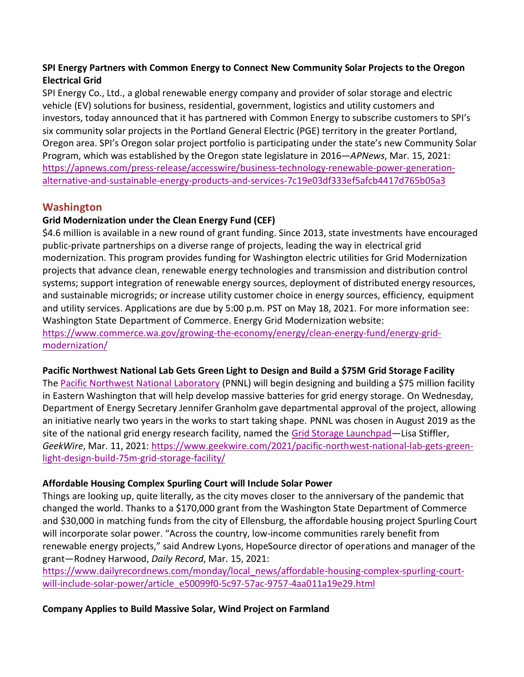## **SPI Energy Partners with Common Energy to Connect New Community Solar Projects to the Oregon Electrical Grid**

SPI Energy Co., Ltd., a global renewable energy company and provider of solar storage and electric vehicle (EV) solutions for business, residential, government, logistics and utility customers and investors, today announced that it has partnered with Common Energy to subscribe customers to SPI's six community solar projects in the Portland General Electric (PGE) territory in the greater Portland, Oregon area. SPI's Oregon solar project portfolio is participating under the state's new Community Solar Program, which was established by the Oregon state legislature in 2016—*APNews*, Mar. 15, 2021: [https://apnews.com/press-release/accesswire/business-technology-renewable-power-generation](https://apnews.com/press-release/accesswire/business-technology-renewable-power-generation-alternative-and-sustainable-energy-products-and-services-7c19e03df333ef5afcb4417d765b05a3)[alternative-and-sustainable-energy-products-and-services-7c19e03df333ef5afcb4417d765b05a3](https://apnews.com/press-release/accesswire/business-technology-renewable-power-generation-alternative-and-sustainable-energy-products-and-services-7c19e03df333ef5afcb4417d765b05a3)

# **Washington**

# **Grid Modernization under the Clean Energy Fund (CEF)**

\$4.6 million is available in a new round of grant funding. Since 2013, state investments have encouraged public-private partnerships on a diverse range of projects, leading the way in electrical grid modernization. This program provides funding for Washington electric utilities for Grid Modernization projects that advance clean, renewable energy technologies and transmission and distribution control systems; support integration of renewable energy sources, deployment of distributed energy resources, and sustainable microgrids; or increase utility customer choice in energy sources, efficiency, equipment and utility services. Applications are due by 5:00 p.m. PST on May 18, 2021. For more information see: Washington State Department of Commerce. Energy Grid Modernization website: [https://www.commerce.wa.gov/growing-the-economy/energy/clean-energy-fund/energy-grid](https://www.commerce.wa.gov/growing-the-economy/energy/clean-energy-fund/energy-grid-modernization/)[modernization/](https://www.commerce.wa.gov/growing-the-economy/energy/clean-energy-fund/energy-grid-modernization/)

## **Pacific Northwest National Lab Gets Green Light to Design and Build a \$75M Grid Storage Facility**

The [Pacific Northwest National Laboratory](https://www.pnnl.gov/) (PNNL) will begin designing and building a \$75 million facility in Eastern Washington that will help develop massive batteries for grid energy storage. On Wednesday, Department of Energy Secretary Jennifer Granholm gave departmental approval of the project, allowing an initiative nearly two years in the works to start taking shape. PNNL was chosen in August 2019 as the site of the national grid energy research facility, named the [Grid Storage Launchpad](https://www.energy.gov/oe/grid-storage-launchpad)—Lisa Stiffler, *GeekWire*, Mar. 11, 2021: [https://www.geekwire.com/2021/pacific-northwest-national-lab-gets-green](https://www.geekwire.com/2021/pacific-northwest-national-lab-gets-green-light-design-build-75m-grid-storage-facility/)[light-design-build-75m-grid-storage-facility/](https://www.geekwire.com/2021/pacific-northwest-national-lab-gets-green-light-design-build-75m-grid-storage-facility/)

## **Affordable Housing Complex Spurling Court will Include Solar Power**

Things are looking up, quite literally, as the city moves closer to the anniversary of the pandemic that changed the world. Thanks to a \$170,000 grant from the Washington State Department of Commerce and \$30,000 in matching funds from the city of Ellensburg, the affordable housing project Spurling Court will incorporate solar power. "Across the country, low-income communities rarely benefit from renewable energy projects," said Andrew Lyons, HopeSource director of operations and manager of the grant—Rodney Harwood, *Daily Record*, Mar. 15, 2021:

[https://www.dailyrecordnews.com/monday/local\\_news/affordable-housing-complex-spurling-court](https://www.dailyrecordnews.com/monday/local_news/affordable-housing-complex-spurling-court-will-include-solar-power/article_e50099f0-5c97-57ac-9757-4aa011a19e29.html)[will-include-solar-power/article\\_e50099f0-5c97-57ac-9757-4aa011a19e29.html](https://www.dailyrecordnews.com/monday/local_news/affordable-housing-complex-spurling-court-will-include-solar-power/article_e50099f0-5c97-57ac-9757-4aa011a19e29.html)

**Company Applies to Build Massive Solar, Wind Project on Farmland**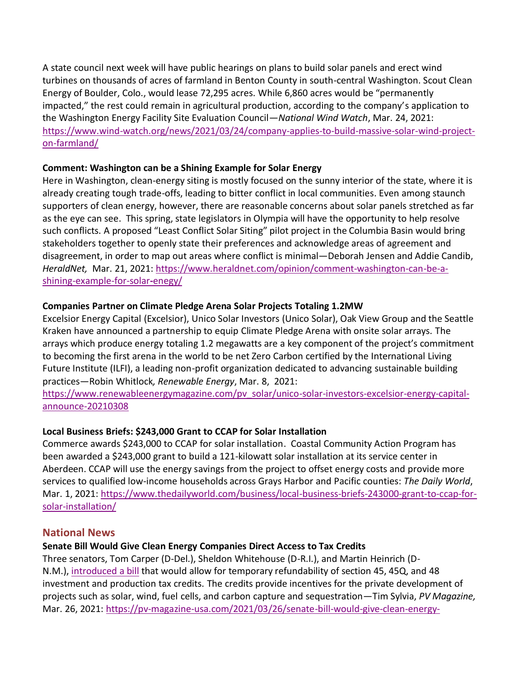A state council next week will have public hearings on plans to build solar panels and erect wind turbines on thousands of acres of farmland in Benton County in south-central Washington. Scout Clean Energy of Boulder, Colo., would lease 72,295 acres. While 6,860 acres would be "permanently impacted," the rest could remain in agricultural production, according to the company's application to the Washington Energy Facility Site Evaluation Council—*National Wind Watch*, Mar. 24, 2021: [https://www.wind-watch.org/news/2021/03/24/company-applies-to-build-massive-solar-wind-project](https://www.wind-watch.org/news/2021/03/24/company-applies-to-build-massive-solar-wind-project-on-farmland/)[on-farmland/](https://www.wind-watch.org/news/2021/03/24/company-applies-to-build-massive-solar-wind-project-on-farmland/)

## **Comment: Washington can be a Shining Example for Solar Energy**

Here in Washington, clean-energy siting is mostly focused on the sunny interior of the state, where it is already creating tough trade-offs, leading to bitter conflict in local communities. Even among staunch supporters of clean energy, however, there are reasonable concerns about solar panels stretched as far as the eye can see. This spring, state legislators in Olympia will have the opportunity to help resolve such conflicts. A proposed "Least Conflict Solar Siting" pilot project in the Columbia Basin would bring stakeholders together to openly state their preferences and acknowledge areas of agreement and disagreement, in order to map out areas where conflict is minimal—Deborah Jensen and Addie Candib, *HeraldNet,* Mar. 21, 2021: [https://www.heraldnet.com/opinion/comment-washington-can-be-a](https://www.heraldnet.com/opinion/comment-washington-can-be-a-shining-example-for-solar-enegy/)[shining-example-for-solar](https://www.heraldnet.com/opinion/comment-washington-can-be-a-shining-example-for-solar-enegy/)**-**enegy/

#### **Companies Partner on Climate Pledge Arena Solar Projects Totaling 1.2MW**

[Excelsior Energy Capital](http://www.excelsiorcapital.com/) (Excelsior), [Unico Solar Investors](https://unicoprop.com/services/real-estate/solar/) (Unico Solar), Oak View Group and the Seattle Kraken have announced a partnership to equip [Climate Pledge Arena](https://climatepledgearena.com/) with onsite solar arrays. The arrays which produce energy totaling 1.2 megawatts are a key component of the project's commitment to becoming the first arena in the world to be net Zero Carbon certified by the International Living Future Institute (ILFI), a leading non-profit organization dedicated to advancing sustainable building practices—Robin Whitlock*, Renewable Energy*, Mar. 8, 2021:

[https://www.renewableenergymagazine.com/pv\\_solar/unico-solar-investors-excelsior-energy-capital](https://www.renewableenergymagazine.com/pv_solar/unico-solar-investors-excelsior-energy-capital-announce-20210308)[announce-20210308](https://www.renewableenergymagazine.com/pv_solar/unico-solar-investors-excelsior-energy-capital-announce-20210308)

## **Local Business Briefs: \$243,000 Grant to CCAP for Solar Installation**

Commerce awards \$243,000 to CCAP for solar installation. Coastal Community Action Program has been awarded a \$243,000 grant to build a 121-kilowatt solar installation at its service center in Aberdeen. CCAP will use the energy savings from the project to offset energy costs and provide more services to qualified low-income households across Grays Harbor and Pacific counties: *The Daily World*, Mar. 1, 2021: [https://www.thedailyworld.com/business/local-business-briefs-243000-grant-to-ccap-for](https://www.thedailyworld.com/business/local-business-briefs-243000-grant-to-ccap-for-solar-installation/)[solar-installation/](https://www.thedailyworld.com/business/local-business-briefs-243000-grant-to-ccap-for-solar-installation/)

## **National News**

## **Senate Bill Would Give Clean Energy Companies Direct Access to Tax Credits**

Three senators, Tom Carper (D-Del.), Sheldon Whitehouse (D-R.I.), and Martin Heinrich (D-N.M.), [introduced a bill](https://www.epw.senate.gov/public/_cache/files/2/c/2c333d59-e75c-4252-a3d6-311a2e3a97f5/7FA6B59CCBE45EECA68410F7ECBCADEA.americas-clean-energy-jobs-act---introduced.pdf) that would allow for temporary refundability of section 45, 45Q, and 48 investment and production tax credits. The credits provide incentives for the private development of projects such as solar, wind, fuel cells, and carbon capture and sequestration—Tim Sylvia, *PV Magazine,* Mar. 26, 2021: [https://pv-magazine-usa.com/2021/03/26/senate-bill-would-give-clean-energy-](https://pv-magazine-usa.com/2021/03/26/senate-bill-would-give-clean-energy-companies-direct-access-to-tax-credits/)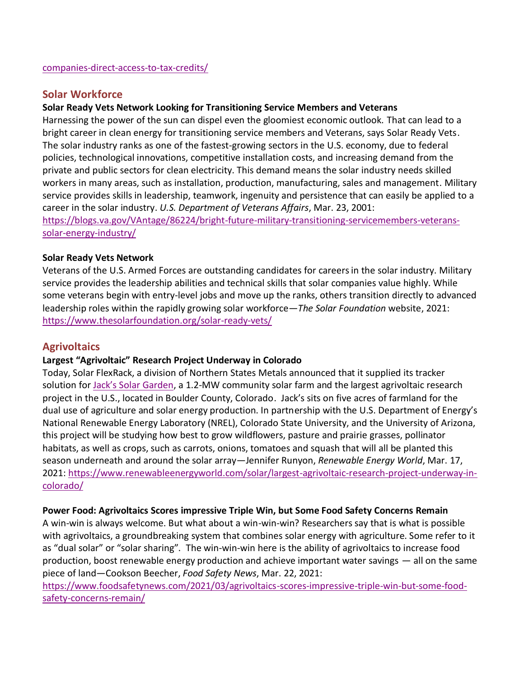## **Solar Workforce**

## **Solar Ready Vets Network Looking for Transitioning Service Members and Veterans**

Harnessing the power of the sun can dispel even the gloomiest economic outlook. That can lead to a bright career in clean energy for transitioning service members and Veterans, says Solar Ready Vets. The solar industry ranks as one of the fastest-growing sectors in the U.S. economy, due to federal policies, technological innovations, competitive installation costs, and increasing demand from the private and public sectors for clean electricity. This demand means the solar industry needs skilled workers in many areas, such as installation, production, manufacturing, sales and management. Military service provides skills in leadership, teamwork, ingenuity and persistence that can easily be applied to a career in the solar industry. *U.S. Department of Veterans Affairs*, Mar. 23, 2001:

[https://blogs.va.gov/VAntage/86224/bright-future-military-transitioning-servicemembers-veterans](https://blogs.va.gov/VAntage/86224/bright-future-military-transitioning-servicemembers-veterans-solar-energy-industry/)[solar-energy-industry/](https://blogs.va.gov/VAntage/86224/bright-future-military-transitioning-servicemembers-veterans-solar-energy-industry/)

#### **Solar Ready Vets Network**

Veterans of the U.S. Armed Forces are outstanding candidates for careers in the solar industry. Military service provides the leadership abilities and technical skills that solar companies value highly. While some veterans begin with entry-level jobs and move up the ranks, others transition directly to advanced leadership roles within the rapidly growing solar workforce—*The Solar Foundation* website, 2021: <https://www.thesolarfoundation.org/solar-ready-vets/>

## **Agrivoltaics**

## **Largest "Agrivoltaic" Research Project Underway in Colorado**

Today, Solar FlexRack, a division of Northern States Metals announced that it supplied its tracker solution for [Jack's Solar Garden](https://www.jackssolargarden.com/), a 1.2-MW community solar farm and the largest agrivoltaic research project in the U.S., located in Boulder County, Colorado. Jack's sits on five acres of farmland for the dual use of agriculture and solar energy production. In partnership with the U.S. Department of Energy's National Renewable Energy Laboratory (NREL), Colorado State University, and the University of Arizona, this project will be studying how best to grow wildflowers, pasture and prairie grasses, pollinator habitats, as well as crops, such as carrots, onions, tomatoes and squash that will all be planted this season underneath and around the solar array—Jennifer Runyon, *Renewable Energy World*, Mar. 17, 2021: [https://www.renewableenergyworld.com/solar/largest-agrivoltaic-research-project-underway-in](https://www.renewableenergyworld.com/solar/largest-agrivoltaic-research-project-underway-in-colorado/)[colorado/](https://www.renewableenergyworld.com/solar/largest-agrivoltaic-research-project-underway-in-colorado/)

## **Power Food: Agrivoltaics Scores impressive Triple Win, but Some Food Safety Concerns Remain**

A win-win is always welcome. But what about a win-win-win? Researchers say that is what is possible with agrivoltaics, a groundbreaking system that combines solar energy with agriculture. Some refer to it as "dual solar" or "solar sharing". The win-win-win here is the ability of agrivoltaics to increase food production, boost renewable energy production and achieve important water savings  $-$  all on the same piece of land—Cookson Beecher, *Food Safety News*, Mar. 22, 2021:

[https://www.foodsafetynews.com/2021/03/agrivoltaics-scores-impressive-triple-win-but-some-food](https://www.foodsafetynews.com/2021/03/agrivoltaics-scores-impressive-triple-win-but-some-food-safety-concerns-remain/)[safety-concerns-remain/](https://www.foodsafetynews.com/2021/03/agrivoltaics-scores-impressive-triple-win-but-some-food-safety-concerns-remain/)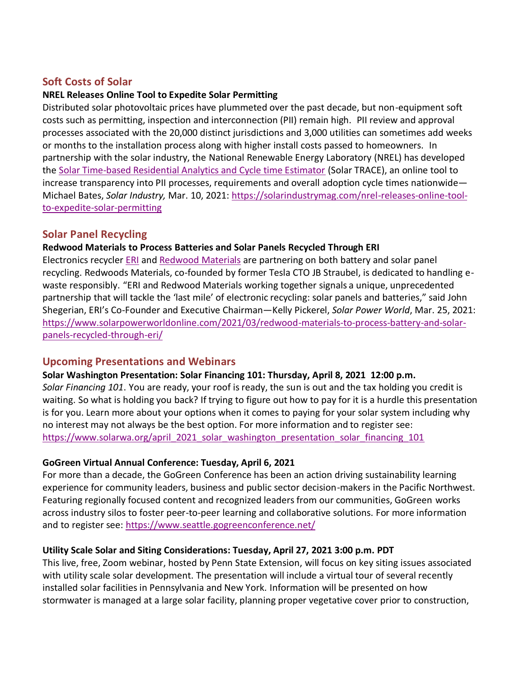# **Soft Costs of Solar**

## **NREL Releases Online Tool to Expedite Solar Permitting**

Distributed solar photovoltaic prices have plummeted over the past decade, but non-equipment soft costs such as permitting, inspection and interconnection (PII) remain high. PII review and approval processes associated with the 20,000 distinct jurisdictions and 3,000 utilities can sometimes add weeks or months to the installation process along with higher install costs passed to homeowners. In partnership with the solar industry, the National Renewable Energy Laboratory (NREL) has developed the [Solar Time-based Residential Analytics and Cycle time Estimator](https://solarapp.nrel.gov/solarTRACE) (Solar TRACE), an online tool to increase transparency into PII processes, requirements and overall adoption cycle times nationwide— Michael Bates, *Solar Industry,* Mar. 10, 2021: [https://solarindustrymag.com/nrel-releases-online-tool](https://solarindustrymag.com/nrel-releases-online-tool-to-expedite-solar-permitting)[to-expedite-solar-permitting](https://solarindustrymag.com/nrel-releases-online-tool-to-expedite-solar-permitting)

## **Solar Panel Recycling**

## **Redwood Materials to Process Batteries and Solar Panels Recycled Through ERI**

Electronics recycler [ERI](https://eridirect.com/) and [Redwood Materials](https://www.redwoodmaterials.com/) are partnering on both battery and solar panel recycling. Redwoods Materials, co-founded by former Tesla CTO JB Straubel, is dedicated to handling ewaste responsibly. "ERI and Redwood Materials working together signals a unique, unprecedented partnership that will tackle the 'last mile' of electronic recycling: solar panels and batteries," said John Shegerian, ERI's Co-Founder and Executive Chairman—Kelly Pickerel, *Solar Power World*, Mar. 25, 2021: [https://www.solarpowerworldonline.com/2021/03/redwood-materials-to-process-battery-and-solar](https://www.solarpowerworldonline.com/2021/03/redwood-materials-to-process-battery-and-solar-panels-recycled-through-eri/)[panels-recycled-through-eri/](https://www.solarpowerworldonline.com/2021/03/redwood-materials-to-process-battery-and-solar-panels-recycled-through-eri/)

## **Upcoming Presentations and Webinars**

#### **[Solar Washington Presentation: Solar](https://www.solarwa.org/january_2021_solar_washington_presentation_working_in_solar_installer) Financing 101: Thursday, April 8, 2021 12:00 p.m.**

*Solar Financing 101*. You are ready, your roof is ready, the sun is out and the tax holding you credit is waiting. So what is holding you back? If trying to figure out how to pay for it is a hurdle this presentation is for you. Learn more about your options when it comes to paying for your solar system including why no interest may not always be the best option. For more information and to register see: [https://www.solarwa.org/april\\_2021\\_solar\\_washington\\_presentation\\_solar\\_financing\\_101](https://www.solarwa.org/april_2021_solar_washington_presentation_solar_financing_101)

## **GoGreen Virtual Annual Conference: Tuesday, April 6, 2021**

For more than a decade, the GoGreen Conference has been an action driving sustainability learning experience for community leaders, business and public sector decision-makers in the Pacific Northwest. Featuring regionally focused content and recognized leaders from our communities, GoGreen works across industry silos to foster peer-to-peer learning and collaborative solutions. For more information and to register see:<https://www.seattle.gogreenconference.net/>

## **Utility Scale Solar and Siting Considerations: Tuesday, April 27, 2021 3:00 p.m. PDT**

This live, free, Zoom webinar, hosted by Penn State Extension, will focus on key siting issues associated with utility scale solar development. The presentation will include a virtual tour of several recently installed solar facilities in Pennsylvania and New York. Information will be presented on how stormwater is managed at a large solar facility, planning proper vegetative cover prior to construction,